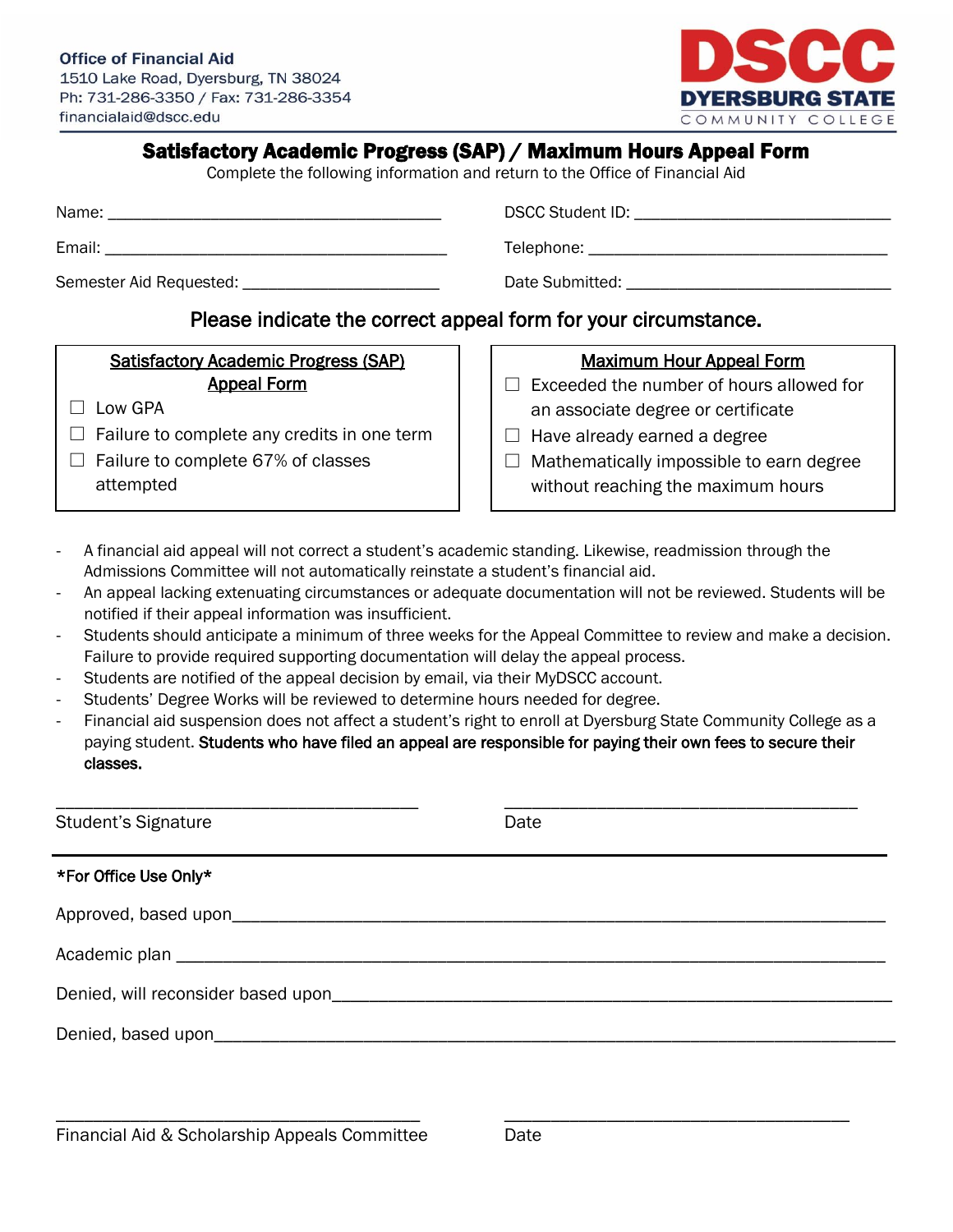#### **Office of Financial Aid**

1510 Lake Road, Dyersburg, TN 38024 Ph: 731-286-3350 / Fax: 731-286-3354 financialaid@dscc.edu



## Satisfactory Academic Progress (SAP) / Maximum Hours Appeal Form

Complete the following information and return to the Office of Financial Aid

Email: \_\_\_\_\_\_\_\_\_\_\_\_\_\_\_\_\_\_\_\_\_\_\_\_\_\_\_\_\_\_\_\_\_\_\_\_\_\_\_\_ Telephone: \_\_\_\_\_\_\_\_\_\_\_\_\_\_\_\_\_\_\_\_\_\_\_\_\_\_\_\_\_\_\_\_\_\_\_

Semester Aid Requested: \_\_\_\_\_\_\_\_\_\_\_\_\_\_\_\_\_\_\_\_\_\_\_ Date Submitted: \_\_\_\_\_\_\_\_\_\_\_\_\_\_\_\_\_\_\_\_\_\_\_\_\_\_\_\_\_\_\_

Name: \_\_\_\_\_\_\_\_\_\_\_\_\_\_\_\_\_\_\_\_\_\_\_\_\_\_\_\_\_\_\_\_\_\_\_\_\_\_\_ DSCC Student ID: \_\_\_\_\_\_\_\_\_\_\_\_\_\_\_\_\_\_\_\_\_\_\_\_\_\_\_\_\_\_

# Please indicate the correct appeal form for your circumstance.

### Satisfactory Academic Progress (SAP) Appeal Form

- $\Box$  Low GPA
- $\Box$  Failure to complete any credits in one term
- $\Box$  Failure to complete 67% of classes attempted

### Maximum Hour Appeal Form

- $\Box$  Exceeded the number of hours allowed for an associate degree or certificate
- $\Box$  Have already earned a degree
- $\Box$  Mathematically impossible to earn degree without reaching the maximum hours
- A financial aid appeal will not correct a student's academic standing. Likewise, readmission through the Admissions Committee will not automatically reinstate a student's financial aid.
- An appeal lacking extenuating circumstances or adequate documentation will not be reviewed. Students will be notified if their appeal information was insufficient.
- Students should anticipate a minimum of three weeks for the Appeal Committee to review and make a decision. Failure to provide required supporting documentation will delay the appeal process.
- Students are notified of the appeal decision by email, via their MyDSCC account.
- Students' Degree Works will be reviewed to determine hours needed for degree.
- Financial aid suspension does not affect a student's right to enroll at Dyersburg State Community College as a paying student. Students who have filed an appeal are responsible for paying their own fees to secure their classes.

| <b>Student's Signature</b>         | Date |  |
|------------------------------------|------|--|
| *For Office Use Only*              |      |  |
|                                    |      |  |
|                                    |      |  |
| Denied, will reconsider based upon |      |  |
|                                    |      |  |

\_\_\_\_\_\_\_\_\_\_\_\_\_\_\_\_\_\_\_\_\_\_\_\_\_\_\_\_\_\_\_\_\_\_\_\_\_\_\_ \_\_\_\_\_\_\_\_\_\_\_\_\_\_\_\_\_\_\_\_\_\_\_\_\_\_\_\_\_\_\_\_\_\_\_\_\_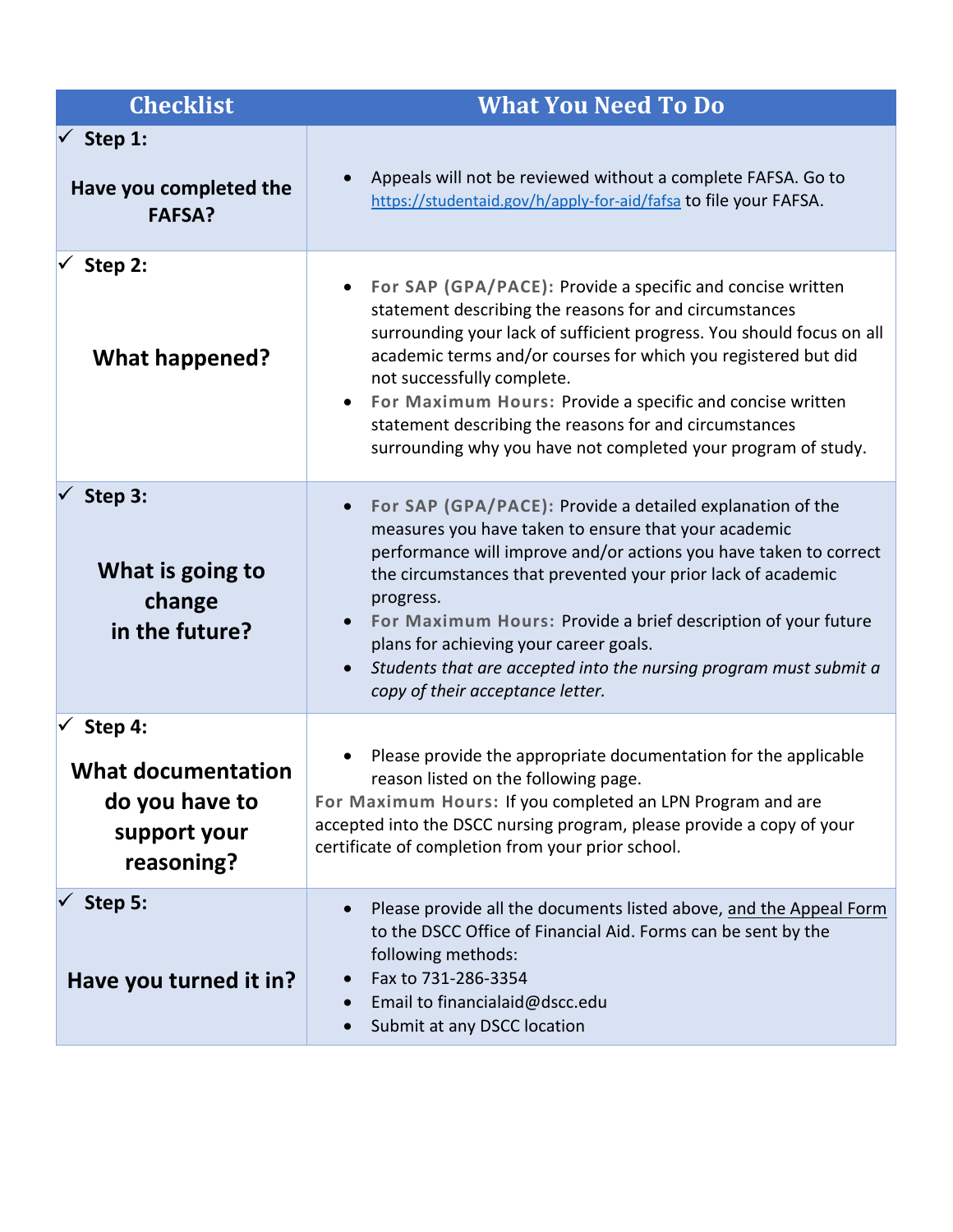| <b>Checklist</b>                                                                     | <b>What You Need To Do</b>                                                                                                                                                                                                                                                                                                                                                                                                                                                                         |
|--------------------------------------------------------------------------------------|----------------------------------------------------------------------------------------------------------------------------------------------------------------------------------------------------------------------------------------------------------------------------------------------------------------------------------------------------------------------------------------------------------------------------------------------------------------------------------------------------|
| Step 1:<br>$\sqrt{ }$<br>Have you completed the<br><b>FAFSA?</b>                     | Appeals will not be reviewed without a complete FAFSA. Go to<br>https://studentaid.gov/h/apply-for-aid/fafsa to file your FAFSA.                                                                                                                                                                                                                                                                                                                                                                   |
| Step 2:<br><b>What happened?</b>                                                     | For SAP (GPA/PACE): Provide a specific and concise written<br>statement describing the reasons for and circumstances<br>surrounding your lack of sufficient progress. You should focus on all<br>academic terms and/or courses for which you registered but did<br>not successfully complete.<br>For Maximum Hours: Provide a specific and concise written<br>$\bullet$<br>statement describing the reasons for and circumstances<br>surrounding why you have not completed your program of study. |
| Step 3:<br>What is going to<br>change<br>in the future?                              | For SAP (GPA/PACE): Provide a detailed explanation of the<br>measures you have taken to ensure that your academic<br>performance will improve and/or actions you have taken to correct<br>the circumstances that prevented your prior lack of academic<br>progress.<br>For Maximum Hours: Provide a brief description of your future<br>plans for achieving your career goals.<br>Students that are accepted into the nursing program must submit a<br>copy of their acceptance letter.            |
| Step 4:<br><b>What documentation</b><br>do you have to<br>support your<br>reasoning? | Please provide the appropriate documentation for the applicable<br>reason listed on the following page.<br>For Maximum Hours: If you completed an LPN Program and are<br>accepted into the DSCC nursing program, please provide a copy of your<br>certificate of completion from your prior school.                                                                                                                                                                                                |
| Step 5:<br>Have you turned it in?                                                    | Please provide all the documents listed above, and the Appeal Form<br>to the DSCC Office of Financial Aid. Forms can be sent by the<br>following methods:<br>Fax to 731-286-3354<br>Email to financialaid@dscc.edu<br>Submit at any DSCC location                                                                                                                                                                                                                                                  |